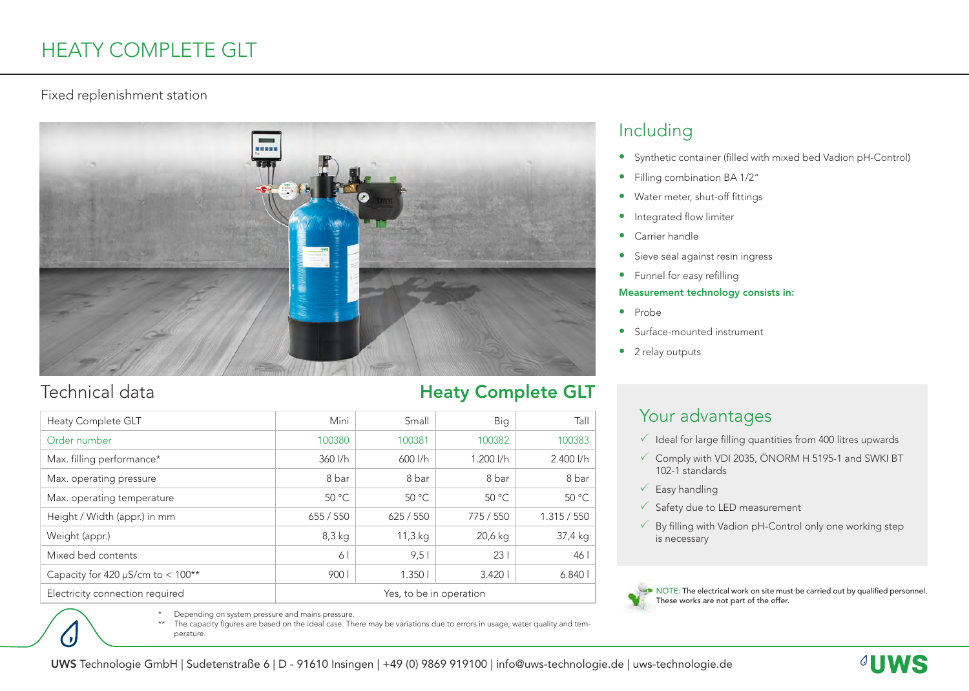# HEATY COMPLETE GLT

### Fixed replenishment station



## Technical data

 $\bullet$ 

| <b>Heaty Complete GLT</b>              | Mini                    | Small   | Big           | Tall          |
|----------------------------------------|-------------------------|---------|---------------|---------------|
| Order number                           | 100380                  | 100381  | 100382        | 100383        |
| Max. filling performance*              | $360$ $I/h$             | 600 l/h | $1.200$ $1/h$ | $2.400$ $1/h$ |
| Max. operating pressure                | 8 bar                   | 8 bar   | 8 bar         | 8 bar         |
| Max. operating temperature             | 50 °C                   | 50 °C   | 50 °C         | 50 °C         |
| Height / Width (appr.) in mm           | 655 / 550               | 625/550 | 775 / 550     | 1.315 / 550   |
| Weight (appr.)                         | $8,3$ kg                | 11,3 kg | 20,6 kg       | 37,4 kg       |
| Mixed bed contents                     | 6                       | 9,5     | 231           | 46            |
| Capacity for 420 $\mu$ S/cm to < 100** | 900                     | 1.3501  | 3.4201        | 6.8401        |
| Electricity connection required        | Yes, to be in operation |         |               |               |

## Heaty Complete GLT

## Including

- Synthetic container (filled with mixed bed Vadion pH-Control)
- Filling combination BA 1/2"
- Water meter, shut-off fittings
- Integrated flow limiter
- Carrier handle
- Sieve seal against resin ingress
- Funnel for easy refilling

#### Measurement technology consists in:

- Probe
- Surface-mounted instrument
- 2 relay outputs

## Your advantages

- $\checkmark$  Ideal for large filling quantities from 400 litres upwards
- $\checkmark$  Comply with VDI 2035, ÖNORM H 5195-1 and SWKI BT 102-1 standards
- $\sqrt{\ }$  Easy handling
- $\checkmark$  Safety due to LED measurement
- $\sqrt{ }$  By filling with Vadion pH-Control only one working step is necessary



\* Depending on system pressure and mains pressure.

The capacity figures are based on the ideal case. There may be variations due to errors in usage, water quality and temperature.